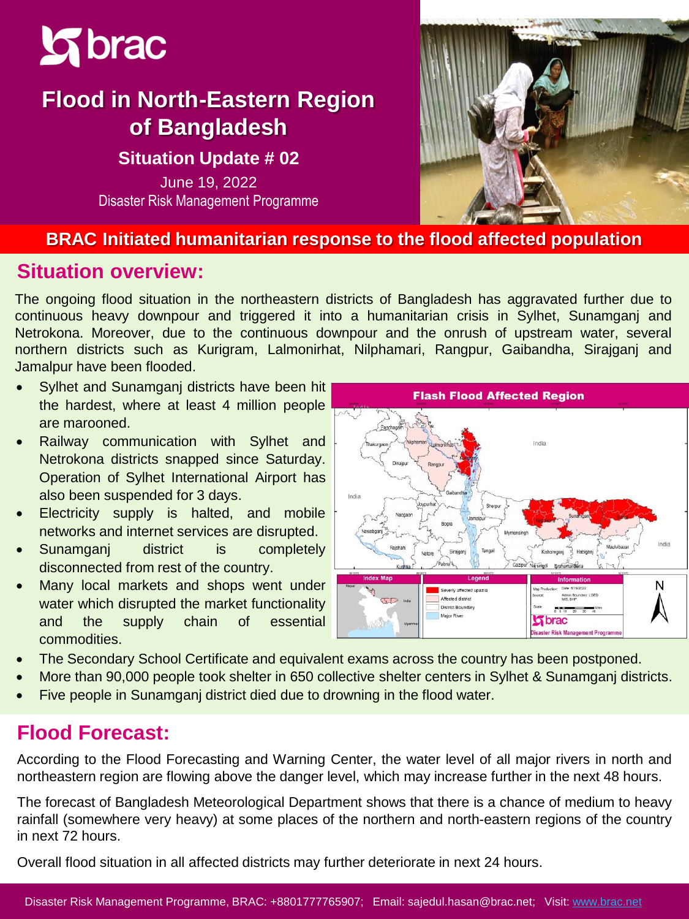

# **Flood in North-Eastern Region of Bangladesh**

#### **Situation Update # 02**

June 19, 2022 Disaster Risk Management Programme



#### **BRAC Initiated humanitarian response to the flood affected population**

### **Situation overview:**

The ongoing flood situation in the northeastern districts of Bangladesh has aggravated further due to continuous heavy downpour and triggered it into a humanitarian crisis in Sylhet, Sunamganj and Netrokona. Moreover, due to the continuous downpour and the onrush of upstream water, several northern districts such as Kurigram, Lalmonirhat, Nilphamari, Rangpur, Gaibandha, Sirajganj and Jamalpur have been flooded.

- Sylhet and Sunamganj districts have been hit the hardest, where at least 4 million people are marooned.
- Railway communication with Sylhet and Netrokona districts snapped since Saturday. Operation of Sylhet International Airport has also been suspended for 3 days.
- Electricity supply is halted, and mobile networks and internet services are disrupted.
- Sunamganj district is completely disconnected from rest of the country.
- Many local markets and shops went under water which disrupted the market functionality and the supply chain of essential commodities.



- The Secondary School Certificate and equivalent exams across the country has been postponed.
- More than 90,000 people took shelter in 650 collective shelter centers in Sylhet & Sunamganj districts.
- Five people in Sunamganj district died due to drowning in the flood water.

## **Flood Forecast:**

According to the Flood Forecasting and Warning Center, the water level of all major rivers in north and northeastern region are flowing above the danger level, which may increase further in the next 48 hours.

The forecast of Bangladesh Meteorological Department shows that there is a chance of medium to heavy rainfall (somewhere very heavy) at some places of the northern and north-eastern regions of the country in next 72 hours.

Overall flood situation in all affected districts may further deteriorate in next 24 hours.